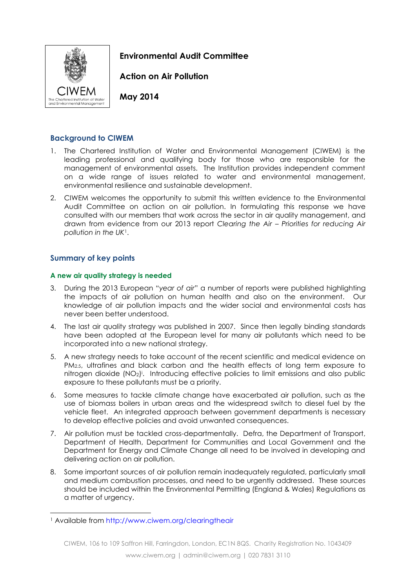

**Environmental Audit Committee**

**Action on Air Pollution**

**May 2014**

# **Background to CIWEM**

- 1. The Chartered Institution of Water and Environmental Management (CIWEM) is the leading professional and qualifying body for those who are responsible for the management of environmental assets. The Institution provides independent comment on a wide range of issues related to water and environmental management, environmental resilience and sustainable development.
- 2. CIWEM welcomes the opportunity to submit this written evidence to the Environmental Audit Committee on action on air pollution. In formulating this response we have consulted with our members that work across the sector in air quality management, and drawn from evidence from our 2013 report *Clearing the Air – Priorities for reducing Air pollution in the UK*1.

# **Summary of key points**

## **A new air quality strategy is needed**

- 3. During the 2013 European "*year of air*" a number of reports were published highlighting the impacts of air pollution on human health and also on the environment. Our knowledge of air pollution impacts and the wider social and environmental costs has never been better understood.
- 4. The last air quality strategy was published in 2007. Since then legally binding standards have been adopted at the European level for many air pollutants which need to be incorporated into a new national strategy.
- 5. A new strategy needs to take account of the recent scientific and medical evidence on PM<sub>2.5</sub>, ultrafines and black carbon and the health effects of long term exposure to nitrogen dioxide (NO<sub>2</sub>). Introducing effective policies to limit emissions and also public exposure to these pollutants must be a priority.
- 6. Some measures to tackle climate change have exacerbated air pollution, such as the use of biomass boilers in urban areas and the widespread switch to diesel fuel by the vehicle fleet. An integrated approach between government departments is necessary to develop effective policies and avoid unwanted consequences.
- 7. Air pollution must be tackled cross-departmentally. Defra, the Department of Transport, Department of Health, Department for Communities and Local Government and the Department for Energy and Climate Change all need to be involved in developing and delivering action on air pollution.
- 8. Some important sources of air pollution remain inadequately regulated, particularly small and medium combustion processes, and need to be urgently addressed. These sources should be included within the Environmental Permitting (England & Wales) Regulations as a matter of urgency.

<sup>-</sup><sup>1</sup> Available from<http://www.ciwem.org/clearingtheair>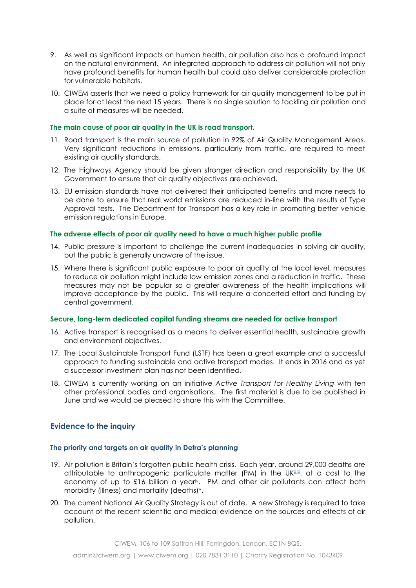- 9. As well as significant impacts on human health, air pollution also has a profound impact on the natural environment. An integrated approach to address air pollution will not only have profound benefits for human health but could also deliver considerable protection for vulnerable habitats.
- 10. CIWEM asserts that we need a policy framework for air quality management to be put in place for at least the next 15 years. There is no single solution to tackling air pollution and a suite of measures will be needed.

#### **The main cause of poor air quality in the UK is road transport.**

- 11. Road transport is the main source of pollution in 92% of Air Quality Management Areas. Very significant reductions in emissions, particularly from traffic, are required to meet existing air quality standards.
- 12. The Highways Agency should be given stronger direction and responsibility by the UK Government to ensure that air quality objectives are achieved.
- 13. EU emission standards have not delivered their anticipated benefits and more needs to be done to ensure that real world emissions are reduced in-line with the results of Type Approval tests. The Department for Transport has a key role in promoting better vehicle emission regulations in Europe.

#### **The adverse effects of poor air quality need to have a much higher public profile**

- 14. Public pressure is important to challenge the current inadequacies in solving air quality, but the public is generally unaware of the issue.
- 15. Where there is significant public exposure to poor air quality at the local level, measures to reduce air pollution might include low emission zones and a reduction in traffic. These measures may not be popular so a greater awareness of the health implications will improve acceptance by the public. This will require a concerted effort and funding by central government.

#### **Secure, long-term dedicated capital funding streams are needed for active transport**

- 16. Active transport is recognised as a means to deliver essential health, sustainable growth and environment objectives.
- 17. The Local Sustainable Transport Fund (LSTF) has been a great example and a successful approach to funding sustainable and active transport modes. It ends in 2016 and as yet a successor investment plan has not been identified.
- 18. CIWEM is currently working on an initiative *Active Transport for Healthy Living* with ten other professional bodies and organisations. The first material is due to be published in June and we would be pleased to share this with the Committee.

## **Evidence to the inquiry**

#### **The priority and targets on air quality in Defra's planning**

- 19. Air pollution is Britain's forgotten public health crisis. Each year, around 29,000 deaths are attributable to anthropogenic particulate matter (PM) in the UKiiii, at a cost to the economy of up to £16 billion a yeariv. PM and other air pollutants can affect both morbidity (illness) and mortality (deaths)<sup>v</sup>.
- 20. The current National Air Quality Strategy is out of date. A new Strategy is required to take account of the recent scientific and medical evidence on the sources and effects of air pollution.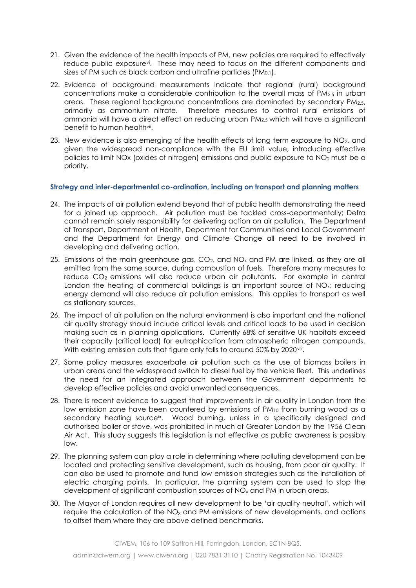- 21. Given the evidence of the health impacts of PM, new policies are required to effectively reduce public exposure<sup>v</sup>i. These may need to focus on the different components and sizes of PM such as black carbon and ultrafine particles (PM0.1).
- 22. Evidence of background measurements indicate that regional (rural) background concentrations make a considerable contribution to the overall mass of  $PM_{2.5}$  in urban areas. These regional background concentrations are dominated by secondary PM2.5, primarily as ammonium nitrate. Therefore measures to control rural emissions of ammonia will have a direct effect on reducing urban PM2.5 which will have a significant benefit to human health<sup>vii</sup>.
- 23. New evidence is also emerging of the health effects of long term exposure to NO2, and given the widespread non-compliance with the EU limit value, introducing effective policies to limit NOx (oxides of nitrogen) emissions and public exposure to NO2 must be a priority.

#### **Strategy and inter-departmental co-ordination, including on transport and planning matters**

- 24. The impacts of air pollution extend beyond that of public health demonstrating the need for a joined up approach. Air pollution must be tackled cross-departmentally; Defra cannot remain solely responsibility for delivering action on air pollution. The Department of Transport, Department of Health, Department for Communities and Local Government and the Department for Energy and Climate Change all need to be involved in developing and delivering action.
- 25. Emissions of the main greenhouse gas,  $CO<sub>2</sub>$ , and  $NO<sub>x</sub>$  and PM are linked, as they are all emitted from the same source, during combustion of fuels. Therefore many measures to reduce CO<sub>2</sub> emissions will also reduce urban air pollutants. For example in central London the heating of commercial buildings is an important source of NO<sub>x</sub>; reducing energy demand will also reduce air pollution emissions. This applies to transport as well as stationary sources.
- 26. The impact of air pollution on the natural environment is also important and the national air quality strategy should include critical levels and critical loads to be used in decision making such as in planning applications. Currently 68% of sensitive UK habitats exceed their capacity (critical load) for eutrophication from atmospheric nitrogen compounds. With existing emission cuts that figure only falls to around 50% by 2020viii.
- 27. Some policy measures exacerbate air pollution such as the use of biomass boilers in urban areas and the widespread switch to diesel fuel by the vehicle fleet. This underlines the need for an integrated approach between the Government departments to develop effective policies and avoid unwanted consequences.
- 28. There is recent evidence to suggest that improvements in air quality in London from the low emission zone have been countered by emissions of PM<sup>10</sup> from burning wood as a secondary heating source<sup>ix</sup>. Wood burning, unless in a specifically designed and authorised boiler or stove, was prohibited in much of Greater London by the 1956 Clean Air Act. This study suggests this legislation is not effective as public awareness is possibly low.
- 29. The planning system can play a role in determining where polluting development can be located and protecting sensitive development, such as housing, from poor air quality. It can also be used to promote and fund low emission strategies such as the installation of electric charging points. In particular, the planning system can be used to stop the development of significant combustion sources of NO<sub>x</sub> and PM in urban areas.
- 30. The Mayor of London requires all new development to be 'air quality neutral', which will require the calculation of the NO<sub>x</sub> and PM emissions of new developments, and actions to offset them where they are above defined benchmarks.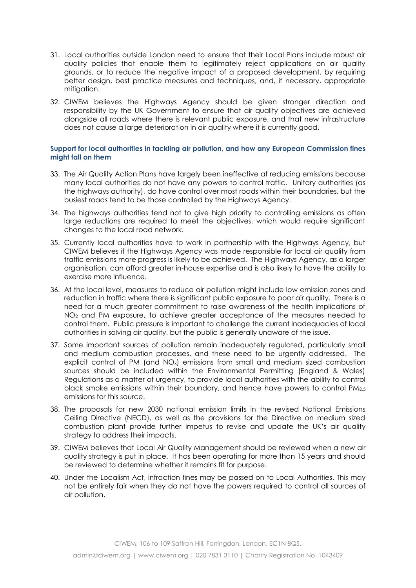- 31. Local authorities outside London need to ensure that their Local Plans include robust air quality policies that enable them to legitimately reject applications on air quality grounds, or to reduce the negative impact of a proposed development, by requiring better design, best practice measures and techniques, and, if necessary, appropriate mitigation.
- 32. CIWEM believes the Highways Agency should be given stronger direction and responsibility by the UK Government to ensure that air quality objectives are achieved alongside all roads where there is relevant public exposure, and that new infrastructure does not cause a large deterioration in air quality where it is currently good.

#### **Support for local authorities in tackling air pollution, and how any European Commission fines might fall on them**

- 33. The Air Quality Action Plans have largely been ineffective at reducing emissions because many local authorities do not have any powers to control traffic. Unitary authorities (as the highways authority), do have control over most roads within their boundaries, but the busiest roads tend to be those controlled by the Highways Agency.
- 34. The highways authorities tend not to give high priority to controlling emissions as often large reductions are required to meet the objectives, which would require significant changes to the local road network.
- 35. Currently local authorities have to work in partnership with the Highways Agency, but CIWEM believes if the Highways Agency was made responsible for local air quality from traffic emissions more progress is likely to be achieved. The Highways Agency, as a larger organisation, can afford greater in-house expertise and is also likely to have the ability to exercise more influence.
- 36. At the local level, measures to reduce air pollution might include low emission zones and reduction in traffic where there is significant public exposure to poor air quality. There is a need for a much greater commitment to raise awareness of the health implications of NO<sup>2</sup> and PM exposure, to achieve greater acceptance of the measures needed to control them. Public pressure is important to challenge the current inadequacies of local authorities in solving air quality, but the public is generally unaware of the issue.
- 37. Some important sources of pollution remain inadequately regulated, particularly small and medium combustion processes, and these need to be urgently addressed. The explicit control of PM (and  $NO<sub>x</sub>$ ) emissions from small and medium sized combustion sources should be included within the Environmental Permitting (England & Wales) Regulations as a matter of urgency, to provide local authorities with the ability to control black smoke emissions within their boundary, and hence have powers to control PM2.5 emissions for this source.
- 38. The proposals for new 2030 national emission limits in the revised National Emissions Ceiling Directive (NECD), as well as the provisions for the Directive on medium sized combustion plant provide further impetus to revise and update the UK's air quality strategy to address their impacts.
- 39. CIWEM believes that Local Air Quality Management should be reviewed when a new air quality strategy is put in place. It has been operating for more than 15 years and should be reviewed to determine whether it remains fit for purpose.
- 40. Under the Localism Act, infraction fines may be passed on to Local Authorities. This may not be entirely fair when they do not have the powers required to control all sources of air pollution.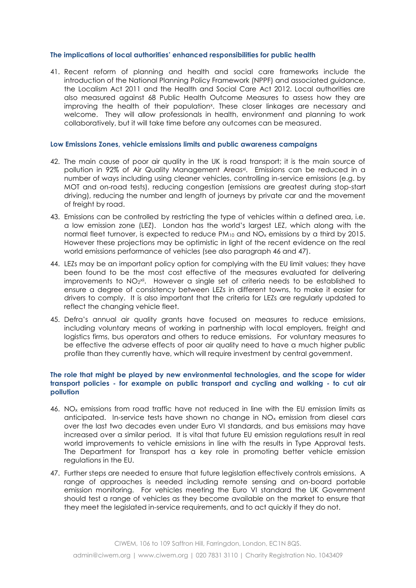#### **The implications of local authorities' enhanced responsibilities for public health**

41. Recent reform of planning and health and social care frameworks include the introduction of the National Planning Policy Framework (NPPF) and associated guidance, the Localism Act 2011 and the Health and Social Care Act 2012. Local authorities are also measured against 68 Public Health Outcome Measures to assess how they are improving the health of their population<sup>x</sup>. These closer linkages are necessary and welcome. They will allow professionals in health, environment and planning to work collaboratively, but it will take time before any outcomes can be measured.

#### **Low Emissions Zones, vehicle emissions limits and public awareness campaigns**

- 42. The main cause of poor air quality in the UK is road transport; it is the main source of pollution in 92% of Air Quality Management Areas<sup>xi</sup>. Emissions can be reduced in a number of ways including using cleaner vehicles, controlling in-service emissions (e.g. by MOT and on-road tests), reducing congestion (emissions are greatest during stop-start driving), reducing the number and length of journeys by private car and the movement of freight by road.
- 43. Emissions can be controlled by restricting the type of vehicles within a defined area, i.e. a low emission zone (LEZ). London has the world's largest LEZ, which along with the normal fleet turnover, is expected to reduce PM<sub>10</sub> and NO<sub>x</sub> emissions by a third by 2015. However these projections may be optimistic in light of the recent evidence on the real world emissions performance of vehicles (see also paragraph 46 and 47).
- 44. LEZs may be an important policy option for complying with the EU limit values; they have been found to be the most cost effective of the measures evaluated for delivering improvements to NO $_2$ xii. However a single set of criteria needs to be established to ensure a degree of consistency between LEZs in different towns, to make it easier for drivers to comply. It is also important that the criteria for LEZs are regularly updated to reflect the changing vehicle fleet.
- 45. Defra's annual air quality grants have focused on measures to reduce emissions, including voluntary means of working in partnership with local employers, freight and logistics firms, bus operators and others to reduce emissions. For voluntary measures to be effective the adverse effects of poor air quality need to have a much higher public profile than they currently have, which will require investment by central government.

#### **The role that might be played by new environmental technologies, and the scope for wider transport policies - for example on public transport and cycling and walking - to cut air pollution**

- 46. NO<sup>x</sup> emissions from road traffic have not reduced in line with the EU emission limits as anticipated. In-service tests have shown no change in  $NO<sub>x</sub>$  emission from diesel cars over the last two decades even under Euro VI standards, and bus emissions may have increased over a similar period. It is vital that future EU emission regulations result in real world improvements to vehicle emissions in line with the results in Type Approval tests. The Department for Transport has a key role in promoting better vehicle emission regulations in the EU.
- 47. Further steps are needed to ensure that future legislation effectively controls emissions. A range of approaches is needed including remote sensing and on-board portable emission monitoring. For vehicles meeting the Euro VI standard the UK Government should test a range of vehicles as they become available on the market to ensure that they meet the legislated in-service requirements, and to act quickly if they do not.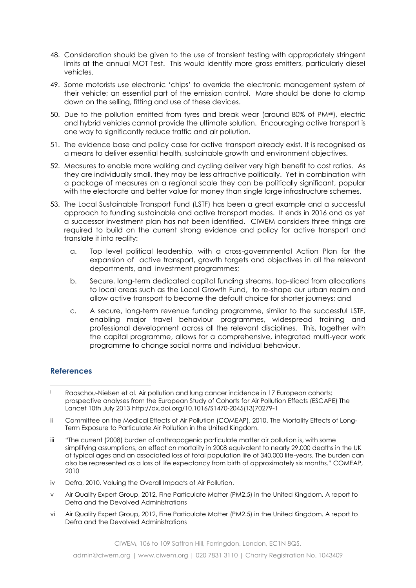- 48. Consideration should be given to the use of transient testing with appropriately stringent limits at the annual MOT Test. This would identify more gross emitters, particularly diesel vehicles.
- 49. Some motorists use electronic 'chips' to override the electronic management system of their vehicle; an essential part of the emission control. More should be done to clamp down on the selling, fitting and use of these devices.
- 50. Due to the pollution emitted from tyres and break wear (around 80% of PM<sup>xiii</sup>), electric and hybrid vehicles cannot provide the ultimate solution. Encouraging active transport is one way to significantly reduce traffic and air pollution.
- 51. The evidence base and policy case for active transport already exist. It is recognised as a means to deliver essential health, sustainable growth and environment objectives.
- 52. Measures to enable more walking and cycling deliver very high benefit to cost ratios. As they are individually small, they may be less attractive politically. Yet in combination with a package of measures on a regional scale they can be politically significant, popular with the electorate and better value for money than single large infrastructure schemes.
- 53. The Local Sustainable Transport Fund (LSTF) has been a great example and a successful approach to funding sustainable and active transport modes. It ends in 2016 and as yet a successor investment plan has not been identified. CIWEM considers three things are required to build on the current strong evidence and policy for active transport and translate it into reality:
	- a. Top level political leadership, with a cross-governmental Action Plan for the expansion of active transport, growth targets and objectives in all the relevant departments, and investment programmes;
	- b. Secure, long-term dedicated capital funding streams, top-sliced from allocations to local areas such as the Local Growth Fund, to re-shape our urban realm and allow active transport to become the default choice for shorter journeys; and
	- c. A secure, long-term revenue funding programme, similar to the successful LSTF, enabling major travel behaviour programmes, widespread training and professional development across all the relevant disciplines. This, together with the capital programme, allows for a comprehensive, integrated multi-year work programme to change social norms and individual behaviour.

## **References**

1

- iv Defra, 2010, Valuing the Overall Impacts of Air Pollution.
- v Air Quality Expert Group, 2012, Fine Particulate Matter (PM2.5) in the United Kingdom. A report to Defra and the Devolved Administrations
- vi Air Quality Expert Group, 2012, Fine Particulate Matter (PM2.5) in the United Kingdom. A report to Defra and the Devolved Administrations

CIWEM, 106 to 109 Saffron Hill, Farringdon, London, EC1N 8QS.

i Raaschou-Nielsen et al. Air pollution and lung cancer incidence in 17 European cohorts: prospective analyses from the European Study of Cohorts for Air Pollution Effects (ESCAPE) The Lancet 10th July 201[3 http://dx.doi.org/10.1016/S1470-2045\(13\)70279-1](http://dx.doi.org/10.1016/S1470-2045(13)70279-1)

ii Committee on the Medical Effects of Air Pollution (COMEAP). 2010. [The Mortality Effects of Long-](http://www.comeap.org.uk/images/stories/Documents/Reports/mortality%20report%202009.pdf)Term [Exposure to Particulate Air Pollution in the United Kingdom.](http://www.comeap.org.uk/images/stories/Documents/Reports/mortality%20report%202009.pdf)

iii "The current (2008) burden of anthropogenic particulate matter air pollution is, with some simplifying assumptions, an effect on mortality in 2008 equivalent to nearly 29,000 deaths in the UK at typical ages and an associated loss of total population life of 340,000 life-years. The burden can also be represented as a loss of life expectancy from birth of approximately six months." COMEAP, 2010